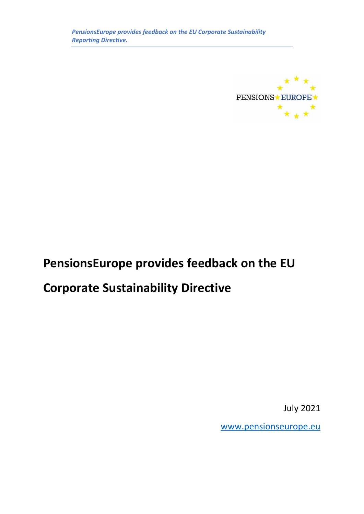

# **PensionsEurope provides feedback on the EU**

# **Corporate Sustainability Directive**

July 2021

[www.pensionseurope.eu](http://www.pensionseurope.eu/)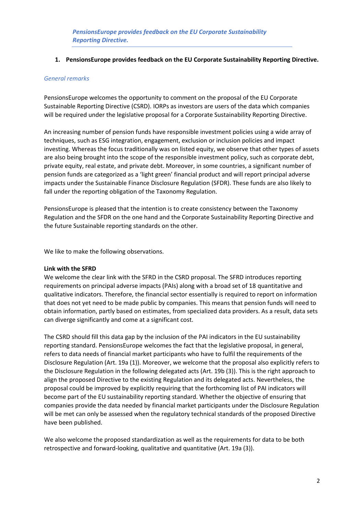## **1. PensionsEurope provides feedback on the EU Corporate Sustainability Reporting Directive.**

## *General remarks*

PensionsEurope welcomes the opportunity to comment on the proposal of the EU Corporate Sustainable Reporting Directive (CSRD). IORPs as investors are users of the data which companies will be required under the legislative proposal for a Corporate Sustainability Reporting Directive.

An increasing number of pension funds have responsible investment policies using a wide array of techniques, such as ESG integration, engagement, exclusion or inclusion policies and impact investing. Whereas the focus traditionally was on listed equity, we observe that other types of assets are also being brought into the scope of the responsible investment policy, such as corporate debt, private equity, real estate, and private debt. Moreover, in some countries, a significant number of pension funds are categorized as a 'light green' financial product and will report principal adverse impacts under the Sustainable Finance Disclosure Regulation (SFDR). These funds are also likely to fall under the reporting obligation of the Taxonomy Regulation.

PensionsEurope is pleased that the intention is to create consistency between the Taxonomy Regulation and the SFDR on the one hand and the Corporate Sustainability Reporting Directive and the future Sustainable reporting standards on the other.

We like to make the following observations.

# **Link with the SFRD**

We welcome the clear link with the SFRD in the CSRD proposal. The SFRD introduces reporting requirements on principal adverse impacts (PAIs) along with a broad set of 18 quantitative and qualitative indicators. Therefore, the financial sector essentially is required to report on information that does not yet need to be made public by companies. This means that pension funds will need to obtain information, partly based on estimates, from specialized data providers. As a result, data sets can diverge significantly and come at a significant cost.

The CSRD should fill this data gap by the inclusion of the PAI indicators in the EU sustainability reporting standard. PensionsEurope welcomes the fact that the legislative proposal, in general, refers to data needs of financial market participants who have to fulfil the requirements of the Disclosure Regulation (Art. 19a (1)). Moreover, we welcome that the proposal also explicitly refers to the Disclosure Regulation in the following delegated acts (Art. 19b (3)). This is the right approach to align the proposed Directive to the existing Regulation and its delegated acts. Nevertheless, the proposal could be improved by explicitly requiring that the forthcoming list of PAI indicators will become part of the EU sustainability reporting standard. Whether the objective of ensuring that companies provide the data needed by financial market participants under the Disclosure Regulation will be met can only be assessed when the regulatory technical standards of the proposed Directive have been published.

We also welcome the proposed standardization as well as the requirements for data to be both retrospective and forward-looking, qualitative and quantitative (Art. 19a (3)).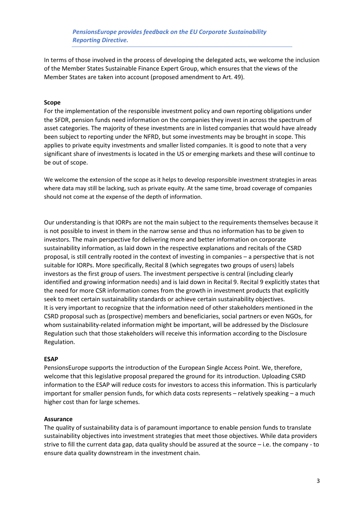*PensionsEurope provides feedback on the EU Corporate Sustainability Reporting Directive.*

In terms of those involved in the process of developing the delegated acts, we welcome the inclusion of the Member States Sustainable Finance Expert Group, which ensures that the views of the Member States are taken into account (proposed amendment to Art. 49).

### **Scope**

For the implementation of the responsible investment policy and own reporting obligations under the SFDR, pension funds need information on the companies they invest in across the spectrum of asset categories. The majority of these investments are in listed companies that would have already been subject to reporting under the NFRD, but some investments may be brought in scope. This applies to private equity investments and smaller listed companies. It is good to note that a very significant share of investments is located in the US or emerging markets and these will continue to be out of scope.

We welcome the extension of the scope as it helps to develop responsible investment strategies in areas where data may still be lacking, such as private equity. At the same time, broad coverage of companies should not come at the expense of the depth of information.

Our understanding is that IORPs are not the main subject to the requirements themselves because it is not possible to invest in them in the narrow sense and thus no information has to be given to investors. The main perspective for delivering more and better information on corporate sustainability information, as laid down in the respective explanations and recitals of the CSRD proposal, is still centrally rooted in the context of investing in companies – a perspective that is not suitable for IORPs. More specifically, Recital 8 (which segregates two groups of users) labels investors as the first group of users. The investment perspective is central (including clearly identified and growing information needs) and is laid down in Recital 9. Recital 9 explicitly states that the need for more CSR information comes from the growth in investment products that explicitly seek to meet certain sustainability standards or achieve certain sustainability objectives. It is very important to recognize that the information need of other stakeholders mentioned in the CSRD proposal such as (prospective) members and beneficiaries, social partners or even NGOs, for whom sustainability-related information might be important, will be addressed by the Disclosure Regulation such that those stakeholders will receive this information according to the Disclosure Regulation.

#### **ESAP**

PensionsEurope supports the introduction of the European Single Access Point. We, therefore, welcome that this legislative proposal prepared the ground for its introduction. Uploading CSRD information to the ESAP will reduce costs for investors to access this information. This is particularly important for smaller pension funds, for which data costs represents – relatively speaking – a much higher cost than for large schemes.

#### **Assurance**

The quality of sustainability data is of paramount importance to enable pension funds to translate sustainability objectives into investment strategies that meet those objectives. While data providers strive to fill the current data gap, data quality should be assured at the source – i.e. the company - to ensure data quality downstream in the investment chain.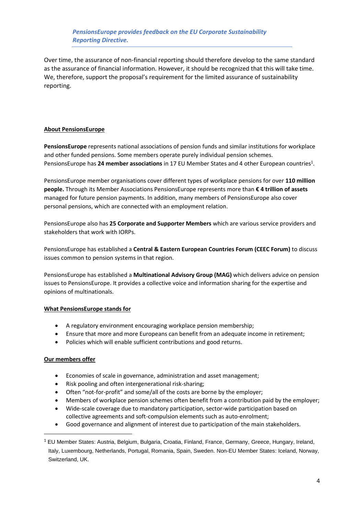# *PensionsEurope provides feedback on the EU Corporate Sustainability Reporting Directive.*

Over time, the assurance of non-financial reporting should therefore develop to the same standard as the assurance of financial information. However, it should be recognized that this will take time. We, therefore, support the proposal's requirement for the limited assurance of sustainability reporting.

## **About PensionsEurope**

**PensionsEurope** represents national associations of pension funds and similar institutions for workplace and other funded pensions. Some members operate purely individual pension schemes. PensionsEurope has 24 member associations in 17 EU Member States and 4 other European countries<sup>1</sup>.

PensionsEurope member organisations cover different types of workplace pensions for over **110 million people.** Through its Member Associations PensionsEurope represents more than **€ 4 trillion of assets** managed for future pension payments. In addition, many members of PensionsEurope also cover personal pensions, which are connected with an employment relation.

PensionsEurope also has **25 Corporate and Supporter Members** which are various service providers and stakeholders that work with IORPs.

PensionsEurope has established a **Central & Eastern European Countries Forum (CEEC Forum)** to discuss issues common to pension systems in that region.

PensionsEurope has established a **Multinational Advisory Group (MAG)** which delivers advice on pension issues to PensionsEurope. It provides a collective voice and information sharing for the expertise and opinions of multinationals.

## **What PensionsEurope stands for**

- A regulatory environment encouraging workplace pension membership;
- Ensure that more and more Europeans can benefit from an adequate income in retirement;
- Policies which will enable sufficient contributions and good returns.

## **Our members offer**

- Economies of scale in governance, administration and asset management;
- Risk pooling and often intergenerational risk-sharing;
- Often "not-for-profit" and some/all of the costs are borne by the employer;
- Members of workplace pension schemes often benefit from a contribution paid by the employer;
- Wide-scale coverage due to mandatory participation, sector-wide participation based on collective agreements and soft-compulsion elements such as auto-enrolment;
- Good governance and alignment of interest due to participation of the main stakeholders.

<sup>1</sup> EU Member States: Austria, Belgium, Bulgaria, Croatia, Finland, France, Germany, Greece, Hungary, Ireland, Italy, Luxembourg, Netherlands, Portugal, Romania, Spain, Sweden. Non-EU Member States: Iceland, Norway, Switzerland, UK.